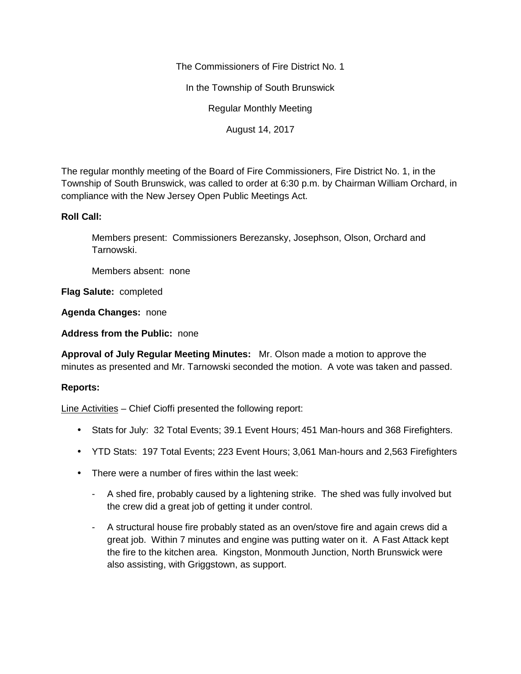The Commissioners of Fire District No. 1

In the Township of South Brunswick

Regular Monthly Meeting

August 14, 2017

The regular monthly meeting of the Board of Fire Commissioners, Fire District No. 1, in the Township of South Brunswick, was called to order at 6:30 p.m. by Chairman William Orchard, in compliance with the New Jersey Open Public Meetings Act.

## **Roll Call:**

Members present: Commissioners Berezansky, Josephson, Olson, Orchard and Tarnowski.

Members absent: none

**Flag Salute:** completed

**Agenda Changes:** none

**Address from the Public:** none

**Approval of July Regular Meeting Minutes:** Mr. Olson made a motion to approve the minutes as presented and Mr. Tarnowski seconded the motion. A vote was taken and passed.

## **Reports:**

Line Activities – Chief Cioffi presented the following report:

- Stats for July: 32 Total Events; 39.1 Event Hours; 451 Man-hours and 368 Firefighters.
- YTD Stats: 197 Total Events; 223 Event Hours; 3,061 Man-hours and 2,563 Firefighters
- There were a number of fires within the last week:
	- A shed fire, probably caused by a lightening strike. The shed was fully involved but the crew did a great job of getting it under control.
	- A structural house fire probably stated as an oven/stove fire and again crews did a great job. Within 7 minutes and engine was putting water on it. A Fast Attack kept the fire to the kitchen area. Kingston, Monmouth Junction, North Brunswick were also assisting, with Griggstown, as support.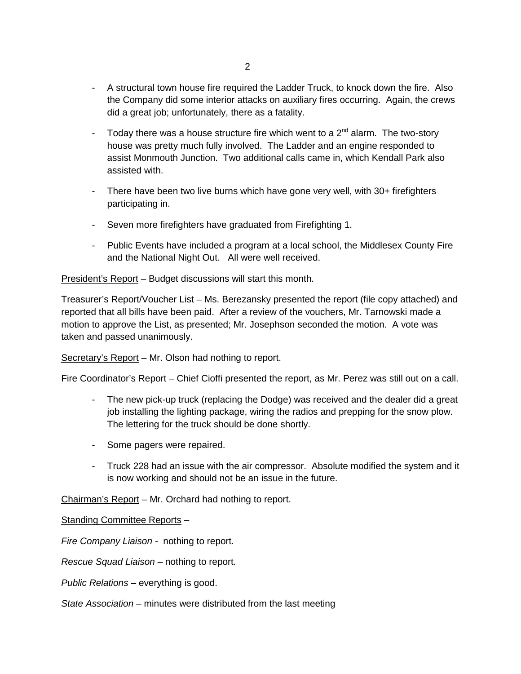- A structural town house fire required the Ladder Truck, to knock down the fire. Also the Company did some interior attacks on auxiliary fires occurring. Again, the crews did a great job; unfortunately, there as a fatality.
- Today there was a house structure fire which went to a  $2^{nd}$  alarm. The two-story house was pretty much fully involved. The Ladder and an engine responded to assist Monmouth Junction. Two additional calls came in, which Kendall Park also assisted with.
- There have been two live burns which have gone very well, with 30+ firefighters participating in.
- Seven more firefighters have graduated from Firefighting 1.
- Public Events have included a program at a local school, the Middlesex County Fire and the National Night Out. All were well received.

President's Report – Budget discussions will start this month.

Treasurer's Report/Voucher List – Ms. Berezansky presented the report (file copy attached) and reported that all bills have been paid. After a review of the vouchers, Mr. Tarnowski made a motion to approve the List, as presented; Mr. Josephson seconded the motion. A vote was taken and passed unanimously.

Secretary's Report – Mr. Olson had nothing to report.

Fire Coordinator's Report – Chief Cioffi presented the report, as Mr. Perez was still out on a call.

- The new pick-up truck (replacing the Dodge) was received and the dealer did a great job installing the lighting package, wiring the radios and prepping for the snow plow. The lettering for the truck should be done shortly.
- Some pagers were repaired.
- Truck 228 had an issue with the air compressor. Absolute modified the system and it is now working and should not be an issue in the future.

Chairman's Report – Mr. Orchard had nothing to report.

Standing Committee Reports –

*Fire Company Liaison -* nothing to report.

*Rescue Squad Liaison –* nothing to report.

*Public Relations –* everything is good.

*State Association –* minutes were distributed from the last meeting